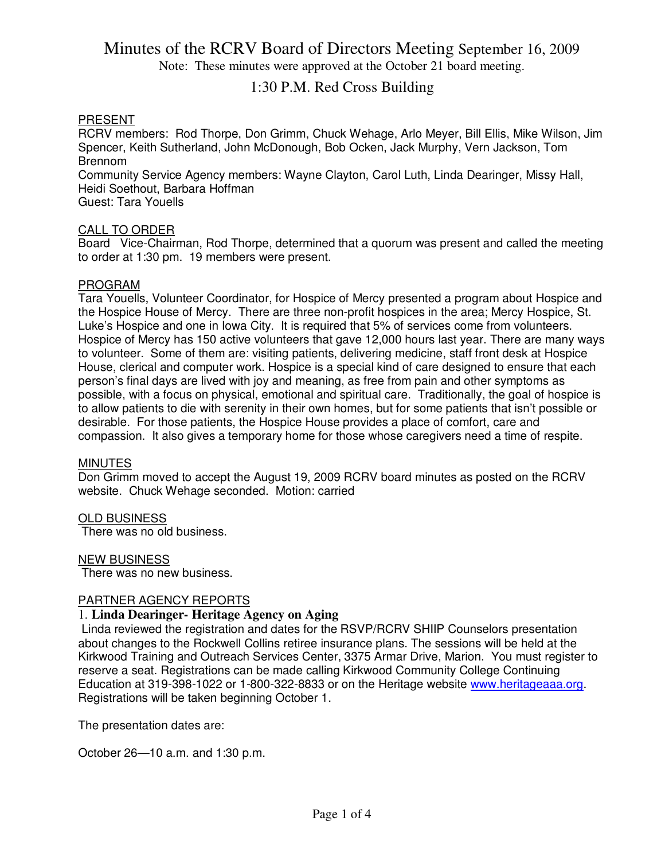Note: These minutes were approved at the October 21 board meeting.

# 1:30 P.M. Red Cross Building

### PRESENT

RCRV members: Rod Thorpe, Don Grimm, Chuck Wehage, Arlo Meyer, Bill Ellis, Mike Wilson, Jim Spencer, Keith Sutherland, John McDonough, Bob Ocken, Jack Murphy, Vern Jackson, Tom Brennom

Community Service Agency members: Wayne Clayton, Carol Luth, Linda Dearinger, Missy Hall, Heidi Soethout, Barbara Hoffman

Guest: Tara Youells

### CALL TO ORDER

Board Vice-Chairman, Rod Thorpe, determined that a quorum was present and called the meeting to order at 1:30 pm. 19 members were present.

### PROGRAM

Tara Youells, Volunteer Coordinator, for Hospice of Mercy presented a program about Hospice and the Hospice House of Mercy. There are three non-profit hospices in the area; Mercy Hospice, St. Luke's Hospice and one in Iowa City. It is required that 5% of services come from volunteers. Hospice of Mercy has 150 active volunteers that gave 12,000 hours last year. There are many ways to volunteer. Some of them are: visiting patients, delivering medicine, staff front desk at Hospice House, clerical and computer work. Hospice is a special kind of care designed to ensure that each person's final days are lived with joy and meaning, as free from pain and other symptoms as possible, with a focus on physical, emotional and spiritual care. Traditionally, the goal of hospice is to allow patients to die with serenity in their own homes, but for some patients that isn't possible or desirable. For those patients, the Hospice House provides a place of comfort, care and compassion. It also gives a temporary home for those whose caregivers need a time of respite.

#### MINUTES

Don Grimm moved to accept the August 19, 2009 RCRV board minutes as posted on the RCRV website. Chuck Wehage seconded. Motion: carried

#### OLD BUSINESS

There was no old business.

#### NEW BUSINESS

There was no new business.

#### PARTNER AGENCY REPORTS

### 1. **Linda Dearinger- Heritage Agency on Aging**

 Linda reviewed the registration and dates for the RSVP/RCRV SHIIP Counselors presentation about changes to the Rockwell Collins retiree insurance plans. The sessions will be held at the Kirkwood Training and Outreach Services Center, 3375 Armar Drive, Marion. You must register to reserve a seat. Registrations can be made calling Kirkwood Community College Continuing Education at 319-398-1022 or 1-800-322-8833 or on the Heritage website www.heritageaaa.org. Registrations will be taken beginning October 1.

The presentation dates are:

October 26—10 a.m. and 1:30 p.m.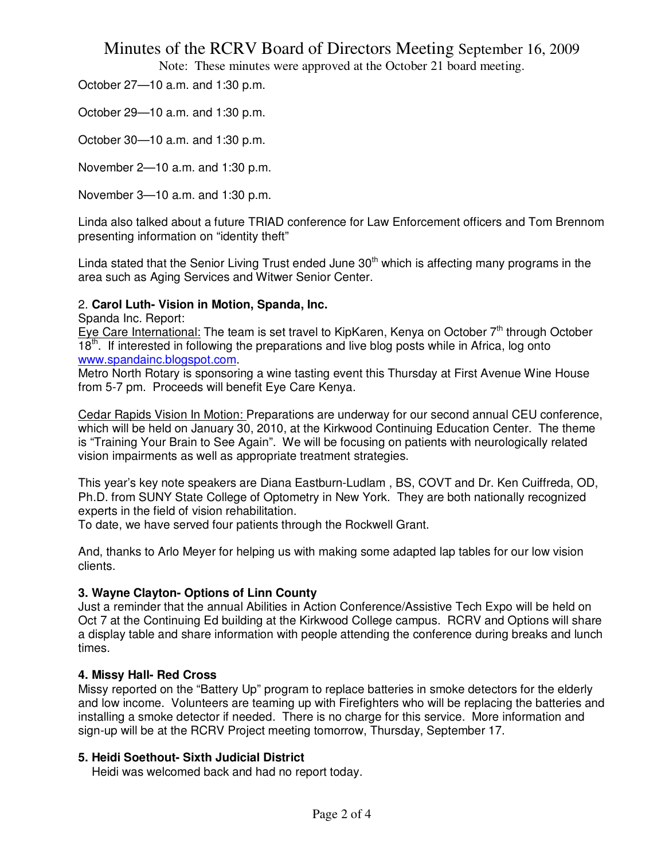Note: These minutes were approved at the October 21 board meeting.

October 27—10 a.m. and 1:30 p.m.

October 29—10 a.m. and 1:30 p.m.

October 30—10 a.m. and 1:30 p.m.

November 2—10 a.m. and 1:30 p.m.

November 3—10 a.m. and 1:30 p.m.

Linda also talked about a future TRIAD conference for Law Enforcement officers and Tom Brennom presenting information on "identity theft"

Linda stated that the Senior Living Trust ended June  $30<sup>th</sup>$  which is affecting many programs in the area such as Aging Services and Witwer Senior Center.

### 2. **Carol Luth- Vision in Motion, Spanda, Inc.**

Spanda Inc. Report:

Eye Care International: The team is set travel to KipKaren, Kenya on October 7<sup>th</sup> through October  $18<sup>th</sup>$ . If interested in following the preparations and live blog posts while in Africa, log onto www.spandainc.blogspot.com.

Metro North Rotary is sponsoring a wine tasting event this Thursday at First Avenue Wine House from 5-7 pm. Proceeds will benefit Eye Care Kenya.

Cedar Rapids Vision In Motion: Preparations are underway for our second annual CEU conference, which will be held on January 30, 2010, at the Kirkwood Continuing Education Center. The theme is "Training Your Brain to See Again". We will be focusing on patients with neurologically related vision impairments as well as appropriate treatment strategies.

This year's key note speakers are Diana Eastburn-Ludlam , BS, COVT and Dr. Ken Cuiffreda, OD, Ph.D. from SUNY State College of Optometry in New York. They are both nationally recognized experts in the field of vision rehabilitation.

To date, we have served four patients through the Rockwell Grant.

And, thanks to Arlo Meyer for helping us with making some adapted lap tables for our low vision clients.

### **3. Wayne Clayton- Options of Linn County**

Just a reminder that the annual Abilities in Action Conference/Assistive Tech Expo will be held on Oct 7 at the Continuing Ed building at the Kirkwood College campus. RCRV and Options will share a display table and share information with people attending the conference during breaks and lunch times.

# **4. Missy Hall- Red Cross**

Missy reported on the "Battery Up" program to replace batteries in smoke detectors for the elderly and low income. Volunteers are teaming up with Firefighters who will be replacing the batteries and installing a smoke detector if needed. There is no charge for this service. More information and sign-up will be at the RCRV Project meeting tomorrow, Thursday, September 17.

# **5. Heidi Soethout- Sixth Judicial District**

Heidi was welcomed back and had no report today.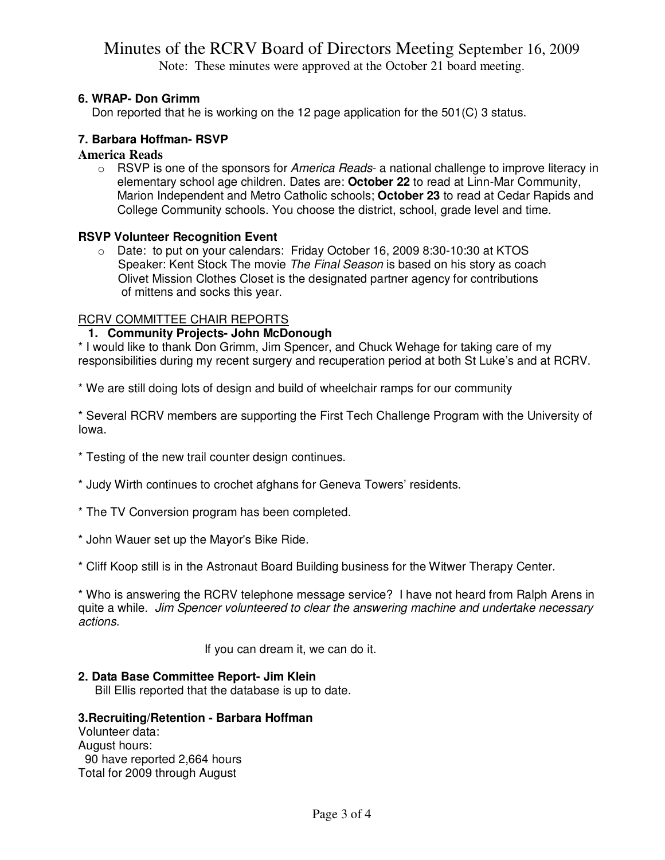Note: These minutes were approved at the October 21 board meeting.

## **6. WRAP- Don Grimm**

Don reported that he is working on the 12 page application for the 501(C) 3 status.

## **7. Barbara Hoffman- RSVP**

### **America Reads**

 $\circ$  RSVP is one of the sponsors for *America Reads*- a national challenge to improve literacy in elementary school age children. Dates are: **October 22** to read at Linn-Mar Community, Marion Independent and Metro Catholic schools; **October 23** to read at Cedar Rapids and College Community schools. You choose the district, school, grade level and time.

### **RSVP Volunteer Recognition Event**

o Date: to put on your calendars: Friday October 16, 2009 8:30-10:30 at KTOS Speaker: Kent Stock The movie The Final Season is based on his story as coach Olivet Mission Clothes Closet is the designated partner agency for contributions of mittens and socks this year.

### RCRV COMMITTEE CHAIR REPORTS

### **1. Community Projects- John McDonough**

\* I would like to thank Don Grimm, Jim Spencer, and Chuck Wehage for taking care of my responsibilities during my recent surgery and recuperation period at both St Luke's and at RCRV.

\* We are still doing lots of design and build of wheelchair ramps for our community

\* Several RCRV members are supporting the First Tech Challenge Program with the University of Iowa.

- \* Testing of the new trail counter design continues.
- \* Judy Wirth continues to crochet afghans for Geneva Towers' residents.
- \* The TV Conversion program has been completed.
- \* John Wauer set up the Mayor's Bike Ride.

\* Cliff Koop still is in the Astronaut Board Building business for the Witwer Therapy Center.

\* Who is answering the RCRV telephone message service? I have not heard from Ralph Arens in quite a while. Jim Spencer volunteered to clear the answering machine and undertake necessary actions.

If you can dream it, we can do it.

### **2. Data Base Committee Report- Jim Klein**

Bill Ellis reported that the database is up to date.

## **3.Recruiting/Retention - Barbara Hoffman**

Volunteer data: August hours: 90 have reported 2,664 hours Total for 2009 through August